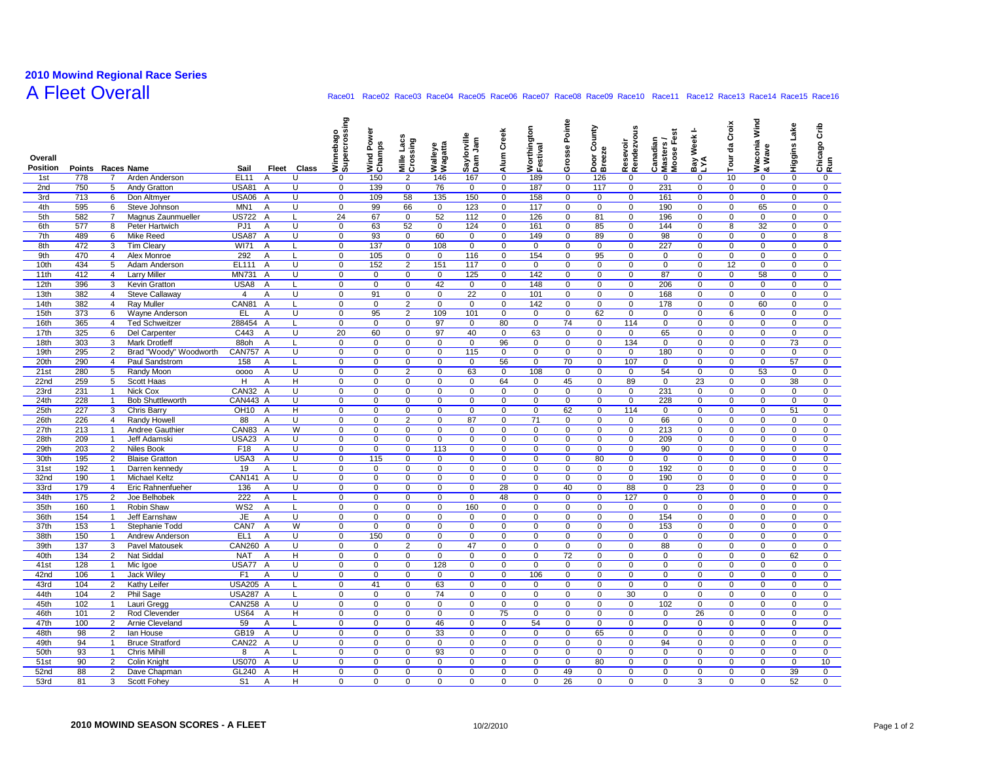## **2010 Mowind Regional Race Series**

## A Fleet Overall **Race01 Race01 Race02 Race03 Race04 Race05** Race06 Race07 Race08 Race09 Race10 Race11 Race12 Race13 Race15 Race16

| Overall<br><b>Position</b> | Points Races Name |                              |                                        | Sail                    | Fleet          | Class          | Winnebago<br>Supercrossing | Wind Pow<br>Champs | Lacs<br>Mille Lacs<br>Crossing | Walleye<br>Wagatta | Saylorville<br>Dam Jam     | Alum Creek       | Worthington<br>Festival | Pointe<br>es<br>ë<br>ō | County<br>Door Co<br>Breeze | Resevoir<br>Rendezvous     | Canadian<br>Masters /<br>Moose Fest | Bay Week I-<br>LYA | Croix<br>명<br>Tour | Waconia Wind<br>& Wave     | Higgins Lake           | ξ<br>Chicago (<br>Run |
|----------------------------|-------------------|------------------------------|----------------------------------------|-------------------------|----------------|----------------|----------------------------|--------------------|--------------------------------|--------------------|----------------------------|------------------|-------------------------|------------------------|-----------------------------|----------------------------|-------------------------------------|--------------------|--------------------|----------------------------|------------------------|-----------------------|
| 1st                        | 778               | $\overline{7}$               | Arden Anderson                         | <b>EL11</b>             | A              | U              | 0                          | 150                | $\overline{2}$                 | 146                | 167                        | 0                | 189                     | $\mathbf 0$            | 126                         | 0                          | 0                                   | 0                  | 10                 | 0                          | $\pmb{0}$              | $\mathbf 0$           |
| 2nd                        | 750               | 5                            | <b>Andy Gratton</b>                    | <b>USA81</b>            | $\overline{A}$ | U              | 0                          | 139                | $\mathbf 0$                    | 76                 | 0                          | 0                | 187                     | 0                      | 117                         | 0                          | 231                                 | 0                  | 0                  | $\mathbf 0$                | 0                      | 0                     |
| 3rd                        | 713               | 6                            | Don Altmyer                            | <b>USA06</b>            | $\overline{A}$ | U              | $\mathbf 0$                | 109                | 58                             | 135                | 150                        | $\mathbf 0$      | 158                     | $\mathbf 0$            | $\mathbf 0$                 | $\mathbf 0$                | 161                                 | 0                  | 0                  | $\mathbf 0$                | $\mathbf 0$            | $\mathbf 0$           |
| 4th                        | 595               | 6                            | Steve Johnson                          | MN <sub>1</sub>         | A              | U              | $\mathbf 0$                | 99                 | 66                             | $\mathbf{0}$       | 123                        | $\mathbf 0$      | 117                     | $\mathbf 0$            | 0                           | $\mathbf 0$                | 190                                 | $\mathbf 0$        | 0                  | 65                         | $\mathbf 0$            | $\mathbf 0$           |
| 5th                        | 582               | $\overline{7}$               | Magnus Zaunmueller                     | <b>US722</b>            | $\overline{A}$ | L              | 24                         | 67                 | $\mathbf 0$                    | 52                 | 112                        | $\mathbf 0$      | 126                     | $\mathbf 0$            | 81                          | $\overline{0}$             | 196                                 | 0                  | $\mathbf 0$        | $\overline{0}$             | $\overline{0}$         | $\mathbf 0$           |
| 6th                        | 577               | 8                            | Peter Hartwich                         | PJ <sub>1</sub>         | $\overline{A}$ | U              | $\mathbf 0$                | 63                 | 52                             | $\mathbf 0$        | 124                        | $\mathbf 0$      | 161                     | 0                      | 85                          | $\mathbf 0$                | 144                                 | 0                  | 8                  | 32                         | $\mathbf 0$            | $\mathbf 0$           |
| 7th                        | 489               | 6                            | Mike Reed                              | <b>USA87</b>            | $\overline{A}$ | U              | $\mathbf 0$                | 93                 | $\mathbf 0$                    | 60                 | $\mathbf 0$                | $\mathbf 0$      | 149                     | 0                      | 89                          | $\mathbf 0$                | 98                                  | 0                  | $\mathbf 0$        | $\mathbf 0$                | $\mathbf 0$            | 8                     |
| 8th                        | 472               | 3                            | <b>Tim Cleary</b>                      | WI71                    | $\overline{A}$ | L.             | $\mathbf 0$                | 137                | $\mathbf 0$                    | 108                | $\mathbf 0$                | 0                | 0                       | 0                      | $\mathbf 0$                 | $\mathbf 0$                | 227                                 | $\overline{0}$     | $\mathbf 0$        | $\mathbf 0$                | $\mathbf 0$            | 0                     |
| 9th                        | 470               | $\overline{4}$               | Alex Monroe                            | 292                     | A              | L              | $\mathbf 0$                | 105                | $\mathbf 0$                    | $\mathbf 0$        | 116                        | 0                | 154                     | $\mathbf 0$            | 95                          | $\mathbf 0$                | $\mathbf 0$                         | 0                  | $\mathbf 0$        | $\mathbf 0$                | $\mathbf 0$            | $\mathbf 0$           |
| 10th                       | 434               | 5                            | Adam Anderson                          | EL111                   | $\overline{A}$ | U              | $\mathbf 0$                | 152                | $\overline{2}$                 | 151                | 117                        | 0                | 0                       | 0                      | $\mathbf 0$                 | $\mathbf 0$                | $\mathbf 0$                         | 0                  | 12                 | $\mathbf 0$                | $\mathbf 0$            | 0                     |
| 11th                       | 412               | $\overline{4}$               | <b>Larry Miller</b>                    | <b>MN731</b>            | A              | U              | $\mathbf 0$                | $\mathbf 0$        | $\mathbf 0$                    | $\mathbf 0$        | 125                        | 0                | 142                     | 0                      | 0                           | $\mathbf 0$                | 87                                  | 0                  | $\mathbf 0$        | 58                         | $\mathbf 0$            | $\mathbf 0$           |
| 12th<br>13th               | 396<br>382        | 3<br>4                       | Kevin Gratton<br><b>Steve Callaway</b> | USA8<br>4               | Α<br>A         | Г<br>U         | $\mathbf 0$<br>0           | 0<br>91            | 0<br>0                         | 42<br>$\mathbf 0$  | 0<br>22                    | 0<br>0           | 148<br>101              | 0<br>0                 | 0<br>0                      | $\mathbf 0$<br>$\mathbf 0$ | 206<br>168                          | 0<br>0             | 0<br>0             | $\mathbf 0$<br>$\mathbf 0$ | $\pmb{0}$<br>$\pmb{0}$ | 0<br>0                |
| 14th                       | 382               | $\overline{4}$               | <b>Ray Muller</b>                      | CAN81                   | A              | L              | $\mathbf 0$                | $\mathsf 0$        | $\overline{2}$                 | $\mathbf 0$        | $\mathbf 0$                | 0                | 142                     | 0                      | 0                           | $\mathbf 0$                | 178                                 | 0                  | 0                  | 60                         | $\pmb{0}$              | 0                     |
| 15th                       | 373               | 6                            | Wayne Anderson                         | <b>EL</b>               | A              | U              | $\mathbf 0$                | 95                 | $\overline{2}$                 | 109                | 101                        | $\mathbf 0$      | $\mathbf 0$             | $\mathbf 0$            | 62                          | $\mathbf 0$                | $\mathbf 0$                         | $\mathbf 0$        | 6                  | $\mathbf 0$                | $\mathbf 0$            | $\mathbf 0$           |
| 16th                       | 365               | $\overline{4}$               | <b>Ted Schweitzer</b>                  | 288454                  | $\overline{A}$ |                | $\mathbf 0$                | $\mathbf 0$        | $\Omega$                       | 97                 | $\mathbf 0$                | 80               | $\mathbf 0$             | 74                     | $\mathbf 0$                 | 114                        | $\mathbf 0$                         | 0                  | $\mathbf 0$        | $\mathbf 0$                | $\mathbf 0$            | $\mathbf 0$           |
| 17th                       | 325               | 6                            | Del Carpenter                          | C443                    | $\overline{A}$ | U              | 20                         | 60                 | 0                              | 97                 | 40                         | 0                | 63                      | $\mathbf 0$            | $\mathbf 0$                 | $\mathbf 0$                | 65                                  | 0                  | 0                  | $\mathbf 0$                | $\pmb{0}$              | 0                     |
| 18th                       | 303               | 3                            | <b>Mark Drotleff</b>                   | 88oh                    | Α              | L              | $\mathbf 0$                | $\mathbf 0$        | $\mathbf 0$                    | $\mathbf 0$        | $\mathbf 0$                | 96               | $\mathbf 0$             | $\mathbf 0$            | $\mathbf 0$                 | 134                        | $\mathbf 0$                         | $\mathbf{0}$       | $\mathbf 0$        | $\mathbf 0$                | 73                     | $\mathbf 0$           |
| 19th                       | 295               | 2                            | Brad "Woody" Woodworth                 | <b>CAN757 A</b>         |                | U              | $\mathbf 0$                | 0                  | 0                              | $\mathbf 0$        | 115                        | $\mathbf 0$      | 0                       | 0                      | 0                           | 0                          | 180                                 | $\overline{0}$     | $\mathbf 0$        | $\mathbf 0$                | 0                      | $\mathbf 0$           |
| 20th                       | 290               | $\overline{4}$               | Paul Sandstrom                         | 158                     | $\overline{A}$ |                | $\mathbf 0$                | 0                  | 0                              | $\mathbf 0$        | $\mathbf 0$                | 56               | 0                       | 70                     | $\mathbf 0$                 | 107                        | $\mathbf 0$                         | 0                  | $\mathbf 0$        | $\mathbf 0$                | 57                     | 0                     |
| 21st                       | 280               | 5                            | Randy Moon                             | 0000                    | A              | U              | $\mathbf 0$                | 0                  | $\overline{2}$                 | $\mathbf 0$        | 63                         | 0                | 108                     | 0                      | $\mathbf 0$                 | $\mathbf 0$                | 54                                  | 0                  | 0                  | 53                         | $\mathbf 0$            | $\mathbf 0$           |
| 22nd                       | 259               | 5                            | Scott Haas                             | H                       | Α              | H              | $\mathbf 0$                | $\mathbf 0$        | $\mathbf 0$                    | $\mathbf 0$        | 0                          | 64               | 0                       | 45                     | 0                           | 89                         | $\mathbf 0$                         | 23                 | $\mathbf 0$        | 0                          | 38                     | 0                     |
| 23rd                       | 231               | $\mathbf{1}$                 | Nick Cox                               | CAN32                   | $\overline{A}$ | U              | $\mathbf 0$                | 0                  | $\mathbf 0$                    | $\mathbf 0$        | 0                          | $\mathbf 0$      | 0                       | 0                      | 0                           | $\mathbf 0$                | 231                                 | 0                  | 0                  | $\mathbf 0$                | $\pmb{0}$              | 0                     |
| 24th                       | 228               | $\mathbf{1}$                 | <b>Bob Shuttleworth</b>                | CAN443 A                |                | U              | $\mathbf 0$                | 0                  | 0                              | 0                  | 0                          | 0                | 0                       | 0                      | 0                           | $\mathbf 0$                | 228                                 | 0                  | 0                  | $\mathbf 0$                | $\mathbf 0$            | 0                     |
| 25th                       | 227               | 3                            | Chris Barry                            | OH <sub>10</sub>        | $\overline{A}$ | н              | $\mathbf 0$                | $\mathsf 0$        | $\mathsf 0$                    | $\mathbf 0$        | $\mathbf 0$                | 0                | 0                       | 62                     | 0                           | 114                        | $\mathbf 0$                         | 0                  | 0                  | $\mathbf 0$                | 51                     | 0                     |
| 26th                       | 226               | $\overline{4}$               | Randy Howel                            | 88                      | A              | U              | $\mathbf 0$                | $\mathbf 0$        | $\overline{2}$                 | $\mathbf 0$        | 87                         | $\mathbf 0$      | 71                      | $\mathbf 0$            | $\mathbf 0$                 | $\mathbf 0$                | 66                                  | 0                  | 0                  | $\mathbf 0$                | $\mathbf 0$            | $\mathbf 0$           |
| 27th                       | 213               | $\mathbf{1}$                 | Andree Gauthier                        | CAN83                   | A              | W              | $\mathbf 0$                | $\mathbf 0$        | $\mathbf 0$                    | $\mathbf 0$        | $\mathbf 0$                | $\mathbf 0$      | $\mathbf 0$             | 0                      | $\mathbf 0$                 | $\mathbf 0$                | 213                                 | $\mathbf 0$        | 0                  | $\mathbf 0$                | $\mathbf 0$            | $\mathbf 0$           |
| 28th                       | 209               | $\mathbf{1}$                 | Jeff Adamski                           | <b>USA23</b>            | A              | U              | $\mathbf 0$                | $\mathsf 0$        | $\mathbf 0$                    | $\mathbf 0$        | $\mathbf 0$                | 0                | 0                       | 0                      | $\mathbf 0$                 | $\mathbf 0$                | 209                                 | 0                  | 0                  | $\mathbf 0$                | $\mathbf 0$            | 0                     |
| 29th                       | 203               | $\overline{2}$               | Niles Book                             | F18                     | Α              | U              | $\overline{0}$             | $\mathbf 0$        | $\mathbf 0$                    | 113                | $\mathbf 0$                | $\mathbf 0$      | $\mathbf 0$             | 0                      | $\mathbf 0$                 | $\mathbf 0$                | 90                                  | 0                  | 0                  | $\overline{0}$             | $\overline{0}$         | $\mathbf 0$           |
| 30th                       | 195               | $\overline{2}$               | <b>Blaise Gratton</b>                  | USA3                    | $\overline{A}$ | U              | $\mathbf 0$                | 115                | 0                              | 0                  | 0                          | $\mathbf 0$      | 0                       | 0                      | 80                          | 0                          | 0                                   | 0                  | $\mathbf 0$        | $\mathbf 0$                | 0                      | 0                     |
| 31st                       | 192               | $\overline{1}$               | Darren kennedy                         | 19                      | $\overline{A}$ | L              | $\mathbf 0$                | $\mathbf 0$        | $\Omega$                       | $\mathbf 0$        | $\mathbf 0$                | $\mathbf 0$      | $\mathbf 0$             | 0                      | $\mathbf 0$                 | $\mathbf 0$                | 192                                 | 0                  | $\mathbf 0$        | $\mathbf 0$                | $\mathbf 0$            | $\mathbf 0$           |
| 32nd                       | 190               | $\mathbf{1}$                 | Michael Keltz                          | <b>CAN141 A</b>         |                | U              | $\mathbf 0$                | 0                  | 0                              | $\mathbf 0$        | 0                          | 0                | 0                       | 0                      | $\mathbf 0$                 | $\mathbf 0$                | 190                                 | 0                  | 0                  | $\mathbf 0$                | $\mathbf 0$            | 0                     |
| 33rd                       | 179               | $\overline{4}$               | Eric Rahnenfueher                      | 136                     | Α              | U              | $\mathbf 0$                | 0                  | $\mathbf 0$                    | $\mathbf 0$        | 0                          | 28               | $\mathbf 0$             | 40                     | 0                           | 88                         | $\mathbf{0}$                        | 23                 | $\mathbf 0$        | $\mathbf 0$                | $\mathbf 0$            | $\mathbf 0$           |
| 34th                       | 175               | $\overline{2}$               | Joe Belhobek                           | 222                     | Α              | L              | $\mathbf 0$                | 0                  | $\mathbf 0$                    | $\mathbf 0$        | $\mathbf 0$                | 48               | 0                       | 0                      | 0                           | 127                        | $\mathbf 0$                         | 0                  | $\mathbf 0$        | $\mathbf 0$                | $\mathbf 0$            | $\mathbf 0$           |
| 35th                       | 160               | $\mathbf{1}$                 | Robin Shaw                             | WS <sub>2</sub>         | Α              | L              | $\mathbf 0$                | 0                  | 0                              | 0                  | 160                        | $\mathbf 0$      | 0                       | 0                      | 0                           | 0                          | $\mathbf 0$                         | 0                  | 0                  | $\mathbf 0$                | $\pmb{0}$              | 0                     |
| 36th                       | 154               | $\mathbf{1}$                 | Jeff Earnshaw                          | <b>JE</b>               | Α              | U<br>W         | $\mathbf 0$                | 0                  | $\mathbf 0$                    | $\mathbf 0$        | $\mathbf 0$                | $\mathbf 0$      | 0                       | 0                      | $\mathbf 0$                 | $\mathbf 0$                | 154                                 | 0                  | 0                  | $\mathbf 0$                | 0                      | $\mathbf 0$           |
| 37th<br>38th               | 153<br>150        | $\mathbf{1}$<br>$\mathbf{1}$ | Stephanie Todd<br>Andrew Anderson      | CAN7<br>EL <sub>1</sub> | Α<br>A         | U              | $\mathbf 0$<br>$\mathbf 0$ | 0<br>150           | 0<br>$\mathsf 0$               | 0<br>$\mathbf 0$   | $\mathbf 0$<br>$\mathbf 0$ | $\mathbf 0$<br>0 | $\mathbf 0$<br>0        | 0<br>0                 | 0<br>0                      | 0<br>$\mathbf 0$           | 153<br>$\Omega$                     | 0<br>0             | $\mathbf 0$<br>0   | $\mathbf 0$<br>$\mathbf 0$ | 0<br>$\pmb{0}$         | 0<br>0                |
| 39th                       | 137               | 3                            | Pavel Matousek                         | <b>CAN260 A</b>         |                | U              | $\mathbf 0$                | $\mathsf 0$        | $\overline{2}$                 | $\mathbf 0$        | 47                         | $\mathbf 0$      | 0                       | 0                      | $\mathbf 0$                 | $\mathbf 0$                | 88                                  | 0                  | 0                  | $\mathbf 0$                | $\pmb{0}$              | 0                     |
| 40th                       | 134               | $\overline{2}$               | Nat Siddal                             | <b>NAT</b>              | Α              | $\overline{H}$ | $\overline{0}$             | $\mathbf 0$        | $\mathbf 0$                    | $\overline{0}$     | $\mathbf 0$                | $\overline{0}$   | $\mathbf 0$             | 72                     | $\mathbf 0$                 | $\overline{0}$             | $\mathbf 0$                         | $\overline{0}$     | $\mathbf 0$        | $\overline{0}$             | 62                     | $\mathbf 0$           |
| 41st                       | 128               | $\mathbf{1}$                 | Mic Igoe                               | USA77 A                 |                | U              | $\mathbf 0$                | 0                  | 0                              | 128                | $\mathbf 0$                | $\mathbf 0$      | $\mathbf 0$             | 0                      | 0                           | $\mathbf 0$                | 0                                   | 0                  | $\mathbf 0$        | $\mathbf 0$                | 0                      | $\mathbf 0$           |
| 42nd                       | 106               | $\mathbf{1}$                 | Jack Wiley                             | F <sub>1</sub>          | A              | U              | $\mathbf 0$                | $\mathbf 0$        | $\mathbf 0$                    | $\mathbf{0}$       | $\mathbf 0$                | $\mathbf 0$      | 106                     | 0                      | $\mathbf 0$                 | $\mathbf 0$                | $\mathbf 0$                         | 0                  | $\mathbf 0$        | $\mathbf 0$                | $\mathbf 0$            | 0                     |
| 43rd                       | 104               | $\overline{2}$               | Kathy Leifer                           | <b>USA205 A</b>         |                | L              | $\mathbf 0$                | 41                 | $\mathbf 0$                    | 63                 | $\mathbf 0$                | 0                | 0                       | 0                      | $\mathbf 0$                 | $\mathbf 0$                | $\mathbf 0$                         | $\overline{0}$     | 0                  | $\overline{0}$             | $\overline{0}$         | $\overline{0}$        |
| 44th                       | 104               | 2                            | Phil Sage                              | <b>USA287 A</b>         |                | L              | $\mathbf 0$                | $\mathbf 0$        | $\mathbf 0$                    | 74                 | $\mathbf 0$                | $\mathbf 0$      | $\mathbf 0$             | 0                      | $\mathbf 0$                 | 30                         | $\mathbf 0$                         | 0                  | $\mathbf 0$        | $\mathbf 0$                | $\mathbf 0$            | $\mathbf 0$           |
| 45th                       | 102               | $\mathbf{1}$                 | Lauri Gregg                            | CAN258 A                |                | U              | $\mathbf 0$                | $\mathsf 0$        | $\mathbf 0$                    | $\mathbf 0$        | $\mathbf 0$                | 0                | 0                       | 0                      | 0                           | $\mathbf 0$                | 102                                 | 0                  | 0                  | $\mathbf 0$                | $\mathbf 0$            | $\mathbf 0$           |
| 46th                       | 101               | 2                            | Rod Clevender                          | <b>US64</b>             | $\overline{A}$ | Н              | $\mathbf 0$                | $\mathbf 0$        | $\mathbf 0$                    | $\mathbf 0$        | $\mathbf 0$                | 75               | 0                       | 0                      | $\mathbf 0$                 | $\mathbf 0$                | $\mathbf 0$                         | 26                 | $\mathbf 0$        | $\mathbf 0$                | $\pmb{0}$              | 0                     |
| 47th                       | 100               | $\overline{2}$               | Arnie Cleveland                        | 59                      | $\overline{A}$ | L              | $\mathbf 0$                | 0                  | $\mathbf 0$                    | 46                 | $\mathbf 0$                | $\mathbf 0$      | 54                      | 0                      | $\mathbf 0$                 | $\mathbf 0$                | $\mathbf 0$                         | 0                  | $\mathbf 0$        | $\mathbf 0$                | $\mathbf 0$            | $\mathbf 0$           |
| 48th                       | 98                | 2                            | Ian House                              | GB19                    | $\overline{A}$ | U              | $\mathbf 0$                | 0                  | 0                              | 33                 | $\mathbf 0$                | $\mathbf 0$      | $\mathbf 0$             | 0                      | 65                          | 0                          | 0                                   | 0                  | $\mathbf 0$        | 0                          | 0                      | 0                     |
| 49th                       | 94                | $\mathbf{1}$                 | <b>Bruce Stratford</b>                 | CAN22                   | $\overline{A}$ | U              | $\mathbf 0$                | $\mathsf 0$        | $\mathsf 0$                    | $\mathbf 0$        | $\mathbf 0$                | 0                | 0                       | $\mathbf 0$            | 0                           | $\mathbf 0$                | 94                                  | 0                  | 0                  | $\mathbf 0$                | $\pmb{0}$              | 0                     |
| 50th                       | 93                | $\mathbf{1}$                 | Chris Mihill                           | 8                       | $\overline{A}$ | L              | $\mathbf 0$                | $\mathbf 0$        | $\mathbf 0$                    | 93                 | $\mathbf 0$                | $\mathbf 0$      | 0                       | $\mathbf 0$            | $\mathbf 0$                 | $\mathbf 0$                | $\mathbf 0$                         | 0                  | 0                  | $\mathbf 0$                | $\mathbf 0$            | 0                     |
| 51st                       | 90                | $\overline{2}$               | <b>Colin Knight</b>                    | <b>US070</b>            | $\overline{A}$ | $\overline{U}$ | $\overline{0}$             | $\mathbf 0$        | $\Omega$                       | $\overline{0}$     | $\mathbf 0$                | $\overline{0}$   | 0                       | 0                      | 80                          | $\overline{0}$             | $\Omega$                            | 0                  | $\Omega$           | $\overline{0}$             | $\overline{0}$         | 10                    |
| 52nd                       | 88                | $\overline{2}$               | Dave Chapman                           | GL240                   | $\overline{A}$ | H              | $\mathbf 0$                | 0                  | $\Omega$                       | $\mathbf 0$        | $\mathbf 0$                | $\mathbf 0$      | 0                       | 49                     | 0                           | $\mathbf 0$                | $\Omega$                            | 0                  | 0                  | $\mathbf 0$                | 39                     | $\mathbf 0$           |
| 53rd                       | 81                | 3                            | Scott Fohev                            | S <sub>1</sub>          | A              | H              | $\mathbf 0$                | $\Omega$           | $\Omega$                       | $\mathbf 0$        | $\Omega$                   | $\Omega$         | $\Omega$                | 26                     | $\Omega$                    | $\mathbf 0$                | $\Omega$                            | 3                  | $\Omega$           | $\mathbf 0$                | 52                     | $\mathbf 0$           |